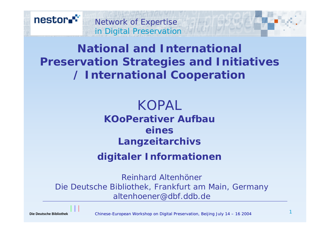

## **National and International Preservation Strategies and Initiatives / International Cooperation**

KOPAL **KOoPerativer AufbaueinesLangzeitarchivs digitaler Informationen**

*Reinhard AltenhönerDie Deutsche Bibliothek, Frankfurt am Main, Germany altenhoener@dbf.ddb.de*

Chinese-European Workshop on Digital Preservation, Beijing July 14 – 16 2004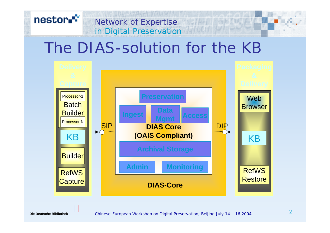#### nestor.<sup>\*\*</sup> Network of Expertise<br>in Digital Preservation Network of Expertise

# The DIAS-solution for the KB

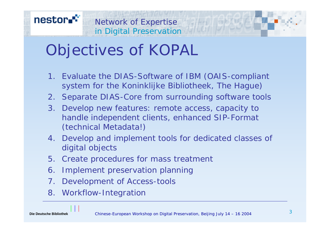#### nestor.<sup>\*\*</sup> Network of Expertise in Digital Preservation

# Objectives of KOPAL

- 1. Evaluate the DIAS-Software of IBM (OAIS-compliant system for the Koninklijke Bibliotheek, The Hague)
- 2. Separate DIAS-Core from surrounding software tools
- 3. Develop new features: remote access, capacity to handle independent clients, enhanced SIP-Format (technical Metadata!)
- 4. Develop and implement tools for dedicated classes of digital objects
- 5. Create procedures for mass treatment
- 6. Implement preservation planning
- 7. Development of Access-tools
- 8. Workflow-Integration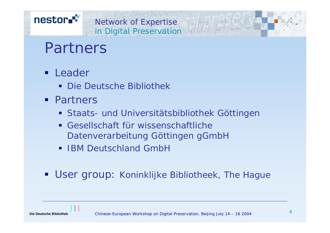### nestor.<sup>\*\*</sup>

#### Network of Expertise in Digital Preservation

# Partners

- **Leader** 
	- Die Deutsche Bibliothek
- **Partners** 
	- Staats- und Universitätsbibliothek Göttingen
	- Gesellschaft für wissenschaftlicheDatenverarbeitung Göttingen gGmbH
	- **IBM Deutschland GmbH**
- **User group: Koninklijke Bibliotheek, The Hague**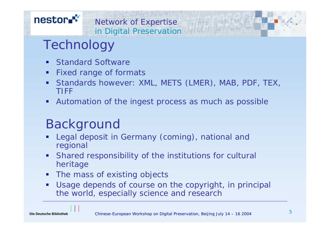### nestor."

#### Network of Expertise in Digital Preservation

# Technology

- $\blacksquare$ Standard Software
- п Fixed range of formats
- $\blacksquare$  Standards however: XML, METS (LMER), MAB, PDF, TEX, TIFF
- $\blacksquare$ Automation of the ingest process as much as possible

## Background

- L. Legal deposit in Germany (coming), national and regional
- $\blacksquare$  Shared responsibility of the institutions for cultural heritage
- $\blacksquare$ The mass of existing objects
- $\blacksquare$  Usage depends of course on the copyright, in principal the world, especially science and research